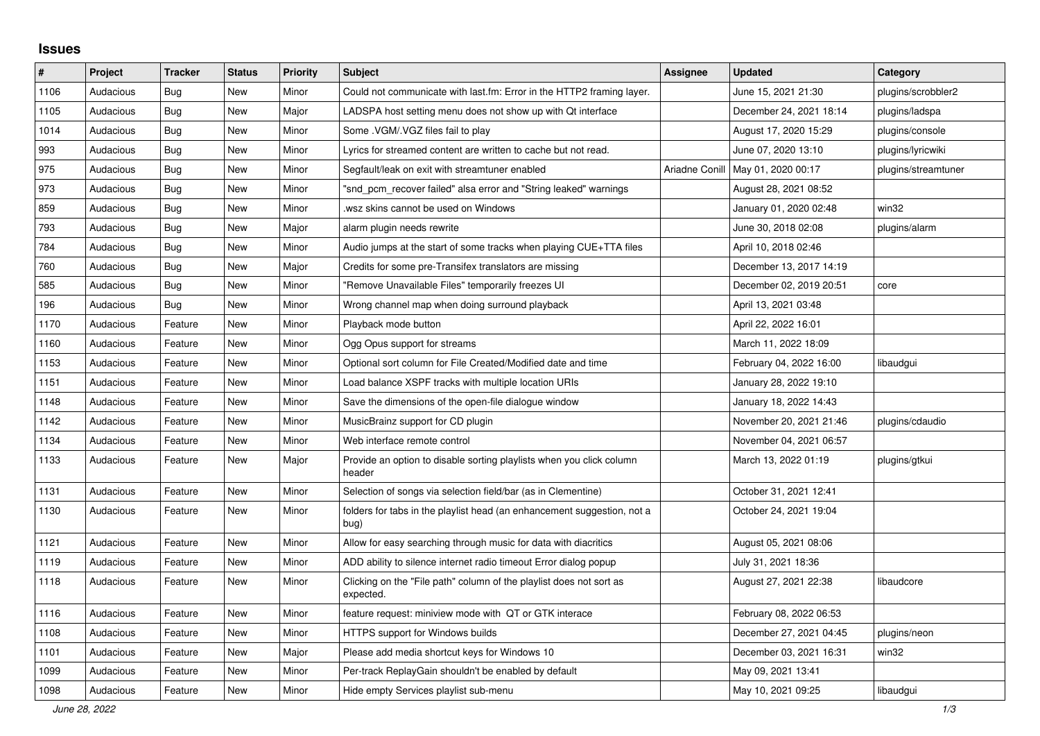## **Issues**

| #    | Project   | <b>Tracker</b> | <b>Status</b> | <b>Priority</b> | <b>Subject</b>                                                                   | <b>Assignee</b> | <b>Updated</b>          | Category            |
|------|-----------|----------------|---------------|-----------------|----------------------------------------------------------------------------------|-----------------|-------------------------|---------------------|
| 1106 | Audacious | Bug            | New           | Minor           | Could not communicate with last.fm: Error in the HTTP2 framing layer.            |                 | June 15, 2021 21:30     | plugins/scrobbler2  |
| 1105 | Audacious | Bug            | New           | Major           | LADSPA host setting menu does not show up with Qt interface                      |                 | December 24, 2021 18:14 | plugins/ladspa      |
| 1014 | Audacious | <b>Bug</b>     | <b>New</b>    | Minor           | Some .VGM/.VGZ files fail to play                                                |                 | August 17, 2020 15:29   | plugins/console     |
| 993  | Audacious | Bug            | New           | Minor           | Lyrics for streamed content are written to cache but not read.                   |                 | June 07, 2020 13:10     | plugins/lyricwiki   |
| 975  | Audacious | <b>Bug</b>     | <b>New</b>    | Minor           | Segfault/leak on exit with streamtuner enabled                                   | Ariadne Conill  | May 01, 2020 00:17      | plugins/streamtuner |
| 973  | Audacious | <b>Bug</b>     | <b>New</b>    | Minor           | "snd_pcm_recover failed" alsa error and "String leaked" warnings                 |                 | August 28, 2021 08:52   |                     |
| 859  | Audacious | <b>Bug</b>     | New           | Minor           | wsz skins cannot be used on Windows.                                             |                 | January 01, 2020 02:48  | win32               |
| 793  | Audacious | Bug            | <b>New</b>    | Major           | alarm plugin needs rewrite                                                       |                 | June 30, 2018 02:08     | plugins/alarm       |
| 784  | Audacious | Bug            | <b>New</b>    | Minor           | Audio jumps at the start of some tracks when playing CUE+TTA files               |                 | April 10, 2018 02:46    |                     |
| 760  | Audacious | <b>Bug</b>     | <b>New</b>    | Major           | Credits for some pre-Transifex translators are missing                           |                 | December 13, 2017 14:19 |                     |
| 585  | Audacious | Bug            | New           | Minor           | "Remove Unavailable Files" temporarily freezes UI                                |                 | December 02, 2019 20:51 | core                |
| 196  | Audacious | <b>Bug</b>     | <b>New</b>    | Minor           | Wrong channel map when doing surround playback                                   |                 | April 13, 2021 03:48    |                     |
| 1170 | Audacious | Feature        | <b>New</b>    | Minor           | Playback mode button                                                             |                 | April 22, 2022 16:01    |                     |
| 1160 | Audacious | Feature        | New           | Minor           | Ogg Opus support for streams                                                     |                 | March 11, 2022 18:09    |                     |
| 1153 | Audacious | Feature        | <b>New</b>    | Minor           | Optional sort column for File Created/Modified date and time                     |                 | February 04, 2022 16:00 | libaudgui           |
| 1151 | Audacious | Feature        | New           | Minor           | Load balance XSPF tracks with multiple location URIs                             |                 | January 28, 2022 19:10  |                     |
| 1148 | Audacious | Feature        | New           | Minor           | Save the dimensions of the open-file dialogue window                             |                 | January 18, 2022 14:43  |                     |
| 1142 | Audacious | Feature        | New           | Minor           | MusicBrainz support for CD plugin                                                |                 | November 20, 2021 21:46 | plugins/cdaudio     |
| 1134 | Audacious | Feature        | New           | Minor           | Web interface remote control                                                     |                 | November 04, 2021 06:57 |                     |
| 1133 | Audacious | Feature        | New           | Major           | Provide an option to disable sorting playlists when you click column<br>header   |                 | March 13, 2022 01:19    | plugins/gtkui       |
| 1131 | Audacious | Feature        | <b>New</b>    | Minor           | Selection of songs via selection field/bar (as in Clementine)                    |                 | October 31, 2021 12:41  |                     |
| 1130 | Audacious | Feature        | New           | Minor           | folders for tabs in the playlist head (an enhancement suggestion, not a<br>bug)  |                 | October 24, 2021 19:04  |                     |
| 1121 | Audacious | Feature        | New           | Minor           | Allow for easy searching through music for data with diacritics                  |                 | August 05, 2021 08:06   |                     |
| 1119 | Audacious | Feature        | New           | Minor           | ADD ability to silence internet radio timeout Error dialog popup                 |                 | July 31, 2021 18:36     |                     |
| 1118 | Audacious | Feature        | New           | Minor           | Clicking on the "File path" column of the playlist does not sort as<br>expected. |                 | August 27, 2021 22:38   | libaudcore          |
| 1116 | Audacious | Feature        | New           | Minor           | feature request: miniview mode with QT or GTK interace                           |                 | February 08, 2022 06:53 |                     |
| 1108 | Audacious | Feature        | New           | Minor           | HTTPS support for Windows builds                                                 |                 | December 27, 2021 04:45 | plugins/neon        |
| 1101 | Audacious | Feature        | New           | Major           | Please add media shortcut keys for Windows 10                                    |                 | December 03, 2021 16:31 | win32               |
| 1099 | Audacious | Feature        | New           | Minor           | Per-track ReplayGain shouldn't be enabled by default                             |                 | May 09, 2021 13:41      |                     |
| 1098 | Audacious | Feature        | New           | Minor           | Hide empty Services playlist sub-menu                                            |                 | May 10, 2021 09:25      | libaudgui           |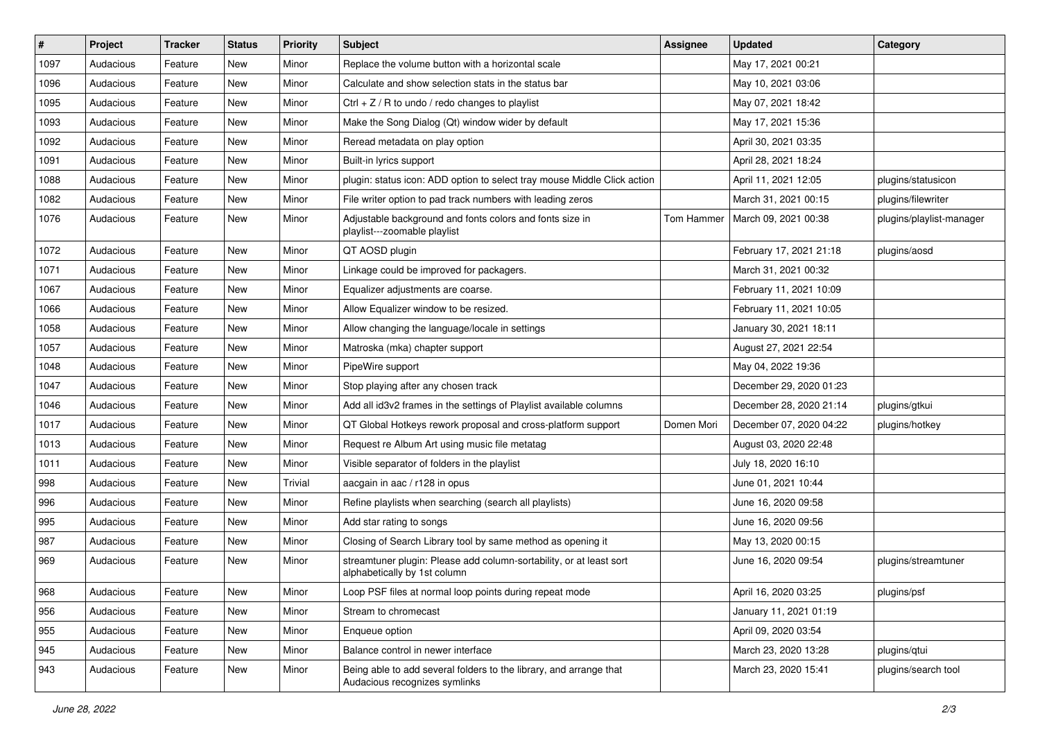| $\vert$ # | Project   | <b>Tracker</b> | <b>Status</b> | <b>Priority</b> | <b>Subject</b>                                                                                      | <b>Assignee</b> | <b>Updated</b>          | Category                 |
|-----------|-----------|----------------|---------------|-----------------|-----------------------------------------------------------------------------------------------------|-----------------|-------------------------|--------------------------|
| 1097      | Audacious | Feature        | New           | Minor           | Replace the volume button with a horizontal scale                                                   |                 | May 17, 2021 00:21      |                          |
| 1096      | Audacious | Feature        | <b>New</b>    | Minor           | Calculate and show selection stats in the status bar                                                |                 | May 10, 2021 03:06      |                          |
| 1095      | Audacious | Feature        | New           | Minor           | Ctrl $+$ Z / R to undo / redo changes to playlist                                                   |                 | May 07, 2021 18:42      |                          |
| 1093      | Audacious | Feature        | New           | Minor           | Make the Song Dialog (Qt) window wider by default                                                   |                 | May 17, 2021 15:36      |                          |
| 1092      | Audacious | Feature        | New           | Minor           | Reread metadata on play option                                                                      |                 | April 30, 2021 03:35    |                          |
| 1091      | Audacious | Feature        | New           | Minor           | Built-in lyrics support                                                                             |                 | April 28, 2021 18:24    |                          |
| 1088      | Audacious | Feature        | New           | Minor           | plugin: status icon: ADD option to select tray mouse Middle Click action                            |                 | April 11, 2021 12:05    | plugins/statusicon       |
| 1082      | Audacious | Feature        | New           | Minor           | File writer option to pad track numbers with leading zeros                                          |                 | March 31, 2021 00:15    | plugins/filewriter       |
| 1076      | Audacious | Feature        | New           | Minor           | Adjustable background and fonts colors and fonts size in<br>playlist---zoomable playlist            | Tom Hammer      | March 09, 2021 00:38    | plugins/playlist-manager |
| 1072      | Audacious | Feature        | <b>New</b>    | Minor           | QT AOSD plugin                                                                                      |                 | February 17, 2021 21:18 | plugins/aosd             |
| 1071      | Audacious | Feature        | New           | Minor           | Linkage could be improved for packagers.                                                            |                 | March 31, 2021 00:32    |                          |
| 1067      | Audacious | Feature        | New           | Minor           | Equalizer adjustments are coarse.                                                                   |                 | February 11, 2021 10:09 |                          |
| 1066      | Audacious | Feature        | New           | Minor           | Allow Equalizer window to be resized.                                                               |                 | February 11, 2021 10:05 |                          |
| 1058      | Audacious | Feature        | New           | Minor           | Allow changing the language/locale in settings                                                      |                 | January 30, 2021 18:11  |                          |
| 1057      | Audacious | Feature        | New           | Minor           | Matroska (mka) chapter support                                                                      |                 | August 27, 2021 22:54   |                          |
| 1048      | Audacious | Feature        | New           | Minor           | PipeWire support                                                                                    |                 | May 04, 2022 19:36      |                          |
| 1047      | Audacious | Feature        | New           | Minor           | Stop playing after any chosen track                                                                 |                 | December 29, 2020 01:23 |                          |
| 1046      | Audacious | Feature        | New           | Minor           | Add all id3v2 frames in the settings of Playlist available columns                                  |                 | December 28, 2020 21:14 | plugins/gtkui            |
| 1017      | Audacious | Feature        | New           | Minor           | QT Global Hotkeys rework proposal and cross-platform support                                        | Domen Mori      | December 07, 2020 04:22 | plugins/hotkey           |
| 1013      | Audacious | Feature        | New           | Minor           | Request re Album Art using music file metatag                                                       |                 | August 03, 2020 22:48   |                          |
| 1011      | Audacious | Feature        | New           | Minor           | Visible separator of folders in the playlist                                                        |                 | July 18, 2020 16:10     |                          |
| 998       | Audacious | Feature        | New           | Trivial         | aacgain in aac / r128 in opus                                                                       |                 | June 01, 2021 10:44     |                          |
| 996       | Audacious | Feature        | New           | Minor           | Refine playlists when searching (search all playlists)                                              |                 | June 16, 2020 09:58     |                          |
| 995       | Audacious | Feature        | New           | Minor           | Add star rating to songs                                                                            |                 | June 16, 2020 09:56     |                          |
| 987       | Audacious | Feature        | New           | Minor           | Closing of Search Library tool by same method as opening it                                         |                 | May 13, 2020 00:15      |                          |
| 969       | Audacious | Feature        | New           | Minor           | streamtuner plugin: Please add column-sortability, or at least sort<br>alphabetically by 1st column |                 | June 16, 2020 09:54     | plugins/streamtuner      |
| 968       | Audacious | Feature        | New           | Minor           | Loop PSF files at normal loop points during repeat mode                                             |                 | April 16, 2020 03:25    | plugins/psf              |
| 956       | Audacious | Feature        | New           | Minor           | Stream to chromecast                                                                                |                 | January 11, 2021 01:19  |                          |
| 955       | Audacious | Feature        | New           | Minor           | Enqueue option                                                                                      |                 | April 09, 2020 03:54    |                          |
| 945       | Audacious | Feature        | New           | Minor           | Balance control in newer interface                                                                  |                 | March 23, 2020 13:28    | plugins/qtui             |
| 943       | Audacious | Feature        | New           | Minor           | Being able to add several folders to the library, and arrange that<br>Audacious recognizes symlinks |                 | March 23, 2020 15:41    | plugins/search tool      |